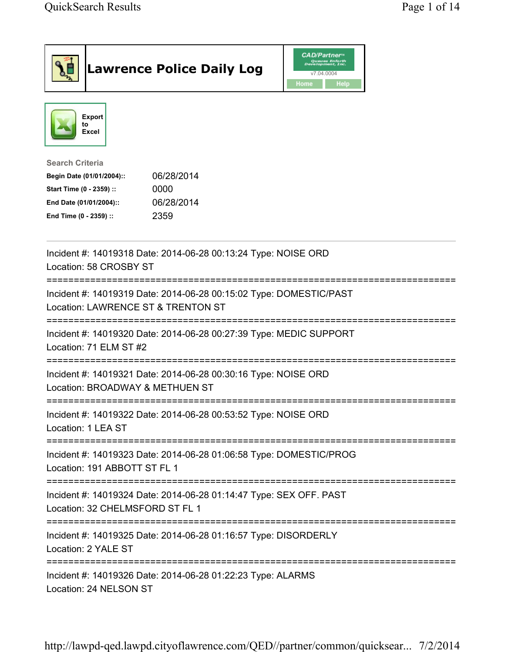|                                                                                                                                      | <b>Lawrence Police Daily Log</b>                                   | <b>CAD/Partner</b> <sup>*</sup><br>Queues Enforth<br>Development, Inc.<br>v7.04.0004<br>Home<br><b>Help</b> |  |
|--------------------------------------------------------------------------------------------------------------------------------------|--------------------------------------------------------------------|-------------------------------------------------------------------------------------------------------------|--|
| <b>Export</b><br>to<br>Excel                                                                                                         |                                                                    |                                                                                                             |  |
| <b>Search Criteria</b><br>Begin Date (01/01/2004)::<br>Start Time (0 - 2359) ::<br>End Date (01/01/2004)::<br>End Time (0 - 2359) :: | 06/28/2014<br>0000<br>06/28/2014<br>2359                           |                                                                                                             |  |
| Location: 58 CROSBY ST                                                                                                               | Incident #: 14019318 Date: 2014-06-28 00:13:24 Type: NOISE ORD     |                                                                                                             |  |
| Location: LAWRENCE ST & TRENTON ST                                                                                                   | Incident #: 14019319 Date: 2014-06-28 00:15:02 Type: DOMESTIC/PAST |                                                                                                             |  |
| Location: 71 ELM ST #2                                                                                                               | Incident #: 14019320 Date: 2014-06-28 00:27:39 Type: MEDIC SUPPORT |                                                                                                             |  |
| Location: BROADWAY & METHUEN ST                                                                                                      | Incident #: 14019321 Date: 2014-06-28 00:30:16 Type: NOISE ORD     |                                                                                                             |  |
| Location: 1 LEA ST                                                                                                                   | Incident #: 14019322 Date: 2014-06-28 00:53:52 Type: NOISE ORD     |                                                                                                             |  |
| Location: 191 ABBOTT ST FL 1                                                                                                         | Incident #: 14019323 Date: 2014-06-28 01:06:58 Type: DOMESTIC/PROG |                                                                                                             |  |
| Location: 32 CHELMSFORD ST FL 1                                                                                                      | Incident #: 14019324 Date: 2014-06-28 01:14:47 Type: SEX OFF. PAST |                                                                                                             |  |
| Location: 2 YALE ST                                                                                                                  | Incident #: 14019325 Date: 2014-06-28 01:16:57 Type: DISORDERLY    |                                                                                                             |  |
| Location: 24 NELSON ST                                                                                                               | Incident #: 14019326 Date: 2014-06-28 01:22:23 Type: ALARMS        |                                                                                                             |  |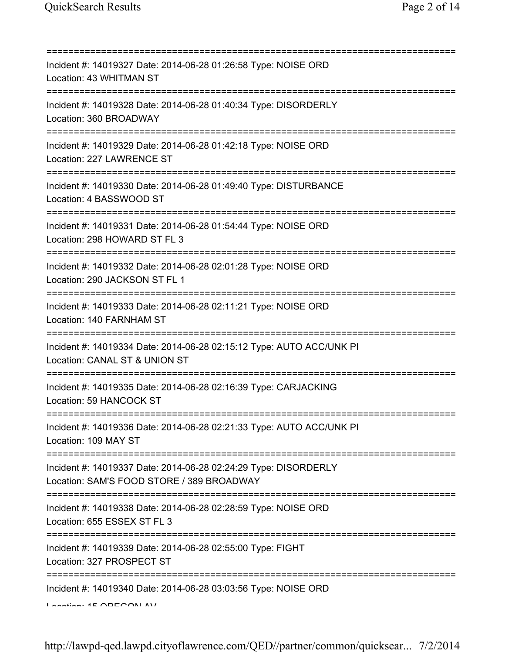| Incident #: 14019327 Date: 2014-06-28 01:26:58 Type: NOISE ORD<br>Location: 43 WHITMAN ST                                              |
|----------------------------------------------------------------------------------------------------------------------------------------|
| Incident #: 14019328 Date: 2014-06-28 01:40:34 Type: DISORDERLY<br>Location: 360 BROADWAY<br>=====================================     |
| Incident #: 14019329 Date: 2014-06-28 01:42:18 Type: NOISE ORD<br>Location: 227 LAWRENCE ST<br>.===========================            |
| Incident #: 14019330 Date: 2014-06-28 01:49:40 Type: DISTURBANCE<br>Location: 4 BASSWOOD ST<br>=====================================   |
| Incident #: 14019331 Date: 2014-06-28 01:54:44 Type: NOISE ORD<br>Location: 298 HOWARD ST FL 3<br>======================               |
| Incident #: 14019332 Date: 2014-06-28 02:01:28 Type: NOISE ORD<br>Location: 290 JACKSON ST FL 1                                        |
| Incident #: 14019333 Date: 2014-06-28 02:11:21 Type: NOISE ORD<br>Location: 140 FARNHAM ST                                             |
| Incident #: 14019334 Date: 2014-06-28 02:15:12 Type: AUTO ACC/UNK PI<br>Location: CANAL ST & UNION ST                                  |
| Incident #: 14019335 Date: 2014-06-28 02:16:39 Type: CARJACKING<br>Location: 59 HANCOCK ST                                             |
| ======================================<br>Incident #: 14019336 Date: 2014-06-28 02:21:33 Type: AUTO ACC/UNK PI<br>Location: 109 MAY ST |
| Incident #: 14019337 Date: 2014-06-28 02:24:29 Type: DISORDERLY<br>Location: SAM'S FOOD STORE / 389 BROADWAY                           |
| Incident #: 14019338 Date: 2014-06-28 02:28:59 Type: NOISE ORD<br>Location: 655 ESSEX ST FL 3                                          |
| ===================================<br>Incident #: 14019339 Date: 2014-06-28 02:55:00 Type: FIGHT<br>Location: 327 PROSPECT ST         |
| Incident #: 14019340 Date: 2014-06-28 03:03:56 Type: NOISE ORD<br>$I$ anation: $4E$ $\cap$ DE $\cap$ $\cap$ NI AVI                     |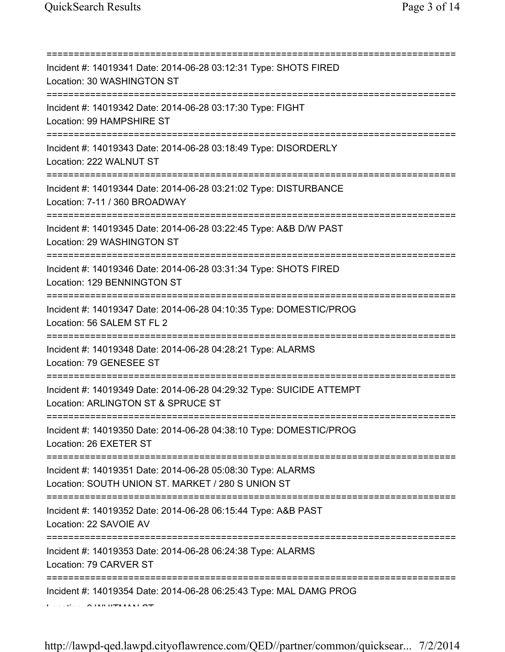| Incident #: 14019341 Date: 2014-06-28 03:12:31 Type: SHOTS FIRED<br>Location: 30 WASHINGTON ST                                                           |
|----------------------------------------------------------------------------------------------------------------------------------------------------------|
| Incident #: 14019342 Date: 2014-06-28 03:17:30 Type: FIGHT<br>Location: 99 HAMPSHIRE ST<br>;===============================                              |
| Incident #: 14019343 Date: 2014-06-28 03:18:49 Type: DISORDERLY<br>Location: 222 WALNUT ST                                                               |
| Incident #: 14019344 Date: 2014-06-28 03:21:02 Type: DISTURBANCE<br>Location: 7-11 / 360 BROADWAY                                                        |
| Incident #: 14019345 Date: 2014-06-28 03:22:45 Type: A&B D/W PAST<br>Location: 29 WASHINGTON ST                                                          |
| Incident #: 14019346 Date: 2014-06-28 03:31:34 Type: SHOTS FIRED<br>Location: 129 BENNINGTON ST                                                          |
| Incident #: 14019347 Date: 2014-06-28 04:10:35 Type: DOMESTIC/PROG<br>Location: 56 SALEM ST FL 2                                                         |
| Incident #: 14019348 Date: 2014-06-28 04:28:21 Type: ALARMS<br>Location: 79 GENESEE ST                                                                   |
| Incident #: 14019349 Date: 2014-06-28 04:29:32 Type: SUICIDE ATTEMPT<br>Location: ARLINGTON ST & SPRUCE ST                                               |
| Incident #: 14019350 Date: 2014-06-28 04:38:10 Type: DOMESTIC/PROG<br>Location: 26 EXETER ST                                                             |
| :===================================<br>Incident #: 14019351 Date: 2014-06-28 05:08:30 Type: ALARMS<br>Location: SOUTH UNION ST. MARKET / 280 S UNION ST |
| Incident #: 14019352 Date: 2014-06-28 06:15:44 Type: A&B PAST<br>Location: 22 SAVOIE AV                                                                  |
| Incident #: 14019353 Date: 2014-06-28 06:24:38 Type: ALARMS<br>Location: 79 CARVER ST                                                                    |
| Incident #: 14019354 Date: 2014-06-28 06:25:43 Type: MAL DAMG PROG                                                                                       |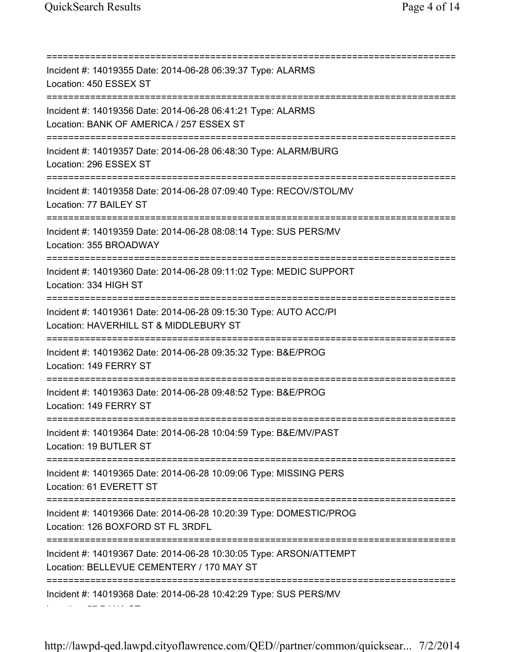Location: 57 DANA ST

=========================================================================== Incident #: 14019355 Date: 2014-06-28 06:39:37 Type: ALARMS Location: 450 ESSEX ST =========================================================================== Incident #: 14019356 Date: 2014-06-28 06:41:21 Type: ALARMS Location: BANK OF AMERICA / 257 ESSEX ST =========================================================================== Incident #: 14019357 Date: 2014-06-28 06:48:30 Type: ALARM/BURG Location: 296 ESSEX ST =========================================================================== Incident #: 14019358 Date: 2014-06-28 07:09:40 Type: RECOV/STOL/MV Location: 77 BAILEY ST =========================================================================== Incident #: 14019359 Date: 2014-06-28 08:08:14 Type: SUS PERS/MV Location: 355 BROADWAY =========================================================================== Incident #: 14019360 Date: 2014-06-28 09:11:02 Type: MEDIC SUPPORT Location: 334 HIGH ST =========================================================================== Incident #: 14019361 Date: 2014-06-28 09:15:30 Type: AUTO ACC/PI Location: HAVERHILL ST & MIDDLEBURY ST =========================================================================== Incident #: 14019362 Date: 2014-06-28 09:35:32 Type: B&E/PROG Location: 149 FERRY ST =========================================================================== Incident #: 14019363 Date: 2014-06-28 09:48:52 Type: B&E/PROG Location: 149 FERRY ST =========================================================================== Incident #: 14019364 Date: 2014-06-28 10:04:59 Type: B&E/MV/PAST Location: 19 BUTLER ST =========================================================================== Incident #: 14019365 Date: 2014-06-28 10:09:06 Type: MISSING PERS Location: 61 EVERETT ST =========================================================================== Incident #: 14019366 Date: 2014-06-28 10:20:39 Type: DOMESTIC/PROG Location: 126 BOXFORD ST FL 3RDFL =========================================================================== Incident #: 14019367 Date: 2014-06-28 10:30:05 Type: ARSON/ATTEMPT Location: BELLEVUE CEMENTERY / 170 MAY ST =========================================================================== Incident #: 14019368 Date: 2014-06-28 10:42:29 Type: SUS PERS/MV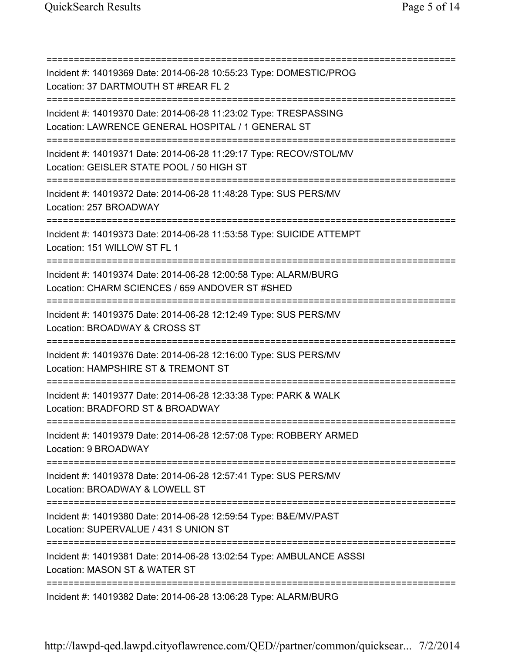=========================================================================== Incident #: 14019369 Date: 2014-06-28 10:55:23 Type: DOMESTIC/PROG Location: 37 DARTMOUTH ST #REAR FL 2 =========================================================================== Incident #: 14019370 Date: 2014-06-28 11:23:02 Type: TRESPASSING Location: LAWRENCE GENERAL HOSPITAL / 1 GENERAL ST =========================================================================== Incident #: 14019371 Date: 2014-06-28 11:29:17 Type: RECOV/STOL/MV Location: GEISLER STATE POOL / 50 HIGH ST =========================================================================== Incident #: 14019372 Date: 2014-06-28 11:48:28 Type: SUS PERS/MV Location: 257 BROADWAY =========================================================================== Incident #: 14019373 Date: 2014-06-28 11:53:58 Type: SUICIDE ATTEMPT Location: 151 WILLOW ST FL 1 =========================================================================== Incident #: 14019374 Date: 2014-06-28 12:00:58 Type: ALARM/BURG Location: CHARM SCIENCES / 659 ANDOVER ST #SHED =========================================================================== Incident #: 14019375 Date: 2014-06-28 12:12:49 Type: SUS PERS/MV Location: BROADWAY & CROSS ST =========================================================================== Incident #: 14019376 Date: 2014-06-28 12:16:00 Type: SUS PERS/MV Location: HAMPSHIRE ST & TREMONT ST =========================================================================== Incident #: 14019377 Date: 2014-06-28 12:33:38 Type: PARK & WALK Location: BRADFORD ST & BROADWAY =========================================================================== Incident #: 14019379 Date: 2014-06-28 12:57:08 Type: ROBBERY ARMED Location: 9 BROADWAY =========================================================================== Incident #: 14019378 Date: 2014-06-28 12:57:41 Type: SUS PERS/MV Location: BROADWAY & LOWELL ST =========================================================================== Incident #: 14019380 Date: 2014-06-28 12:59:54 Type: B&E/MV/PAST Location: SUPERVALUE / 431 S UNION ST =========================================================================== Incident #: 14019381 Date: 2014-06-28 13:02:54 Type: AMBULANCE ASSSI Location: MASON ST & WATER ST =========================================================================== Incident #: 14019382 Date: 2014-06-28 13:06:28 Type: ALARM/BURG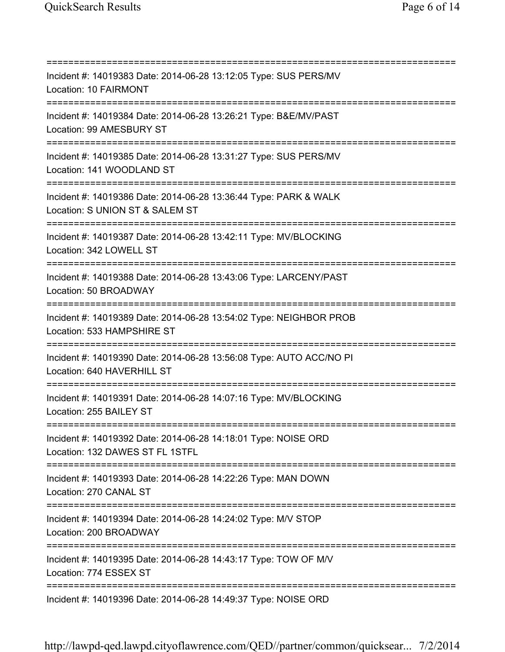=========================================================================== Incident #: 14019383 Date: 2014-06-28 13:12:05 Type: SUS PERS/MV Location: 10 FAIRMONT =========================================================================== Incident #: 14019384 Date: 2014-06-28 13:26:21 Type: B&E/MV/PAST Location: 99 AMESBURY ST =========================================================================== Incident #: 14019385 Date: 2014-06-28 13:31:27 Type: SUS PERS/MV Location: 141 WOODLAND ST =========================================================================== Incident #: 14019386 Date: 2014-06-28 13:36:44 Type: PARK & WALK Location: S UNION ST & SALEM ST =========================================================================== Incident #: 14019387 Date: 2014-06-28 13:42:11 Type: MV/BLOCKING Location: 342 LOWELL ST =========================================================================== Incident #: 14019388 Date: 2014-06-28 13:43:06 Type: LARCENY/PAST Location: 50 BROADWAY =========================================================================== Incident #: 14019389 Date: 2014-06-28 13:54:02 Type: NEIGHBOR PROB Location: 533 HAMPSHIRE ST =========================================================================== Incident #: 14019390 Date: 2014-06-28 13:56:08 Type: AUTO ACC/NO PI Location: 640 HAVERHILL ST =========================================================================== Incident #: 14019391 Date: 2014-06-28 14:07:16 Type: MV/BLOCKING Location: 255 BAILEY ST =========================================================================== Incident #: 14019392 Date: 2014-06-28 14:18:01 Type: NOISE ORD Location: 132 DAWES ST FL 1STFL =========================================================================== Incident #: 14019393 Date: 2014-06-28 14:22:26 Type: MAN DOWN Location: 270 CANAL ST =========================================================================== Incident #: 14019394 Date: 2014-06-28 14:24:02 Type: M/V STOP Location: 200 BROADWAY =========================================================================== Incident #: 14019395 Date: 2014-06-28 14:43:17 Type: TOW OF M/V Location: 774 ESSEX ST =========================================================================== Incident #: 14019396 Date: 2014-06-28 14:49:37 Type: NOISE ORD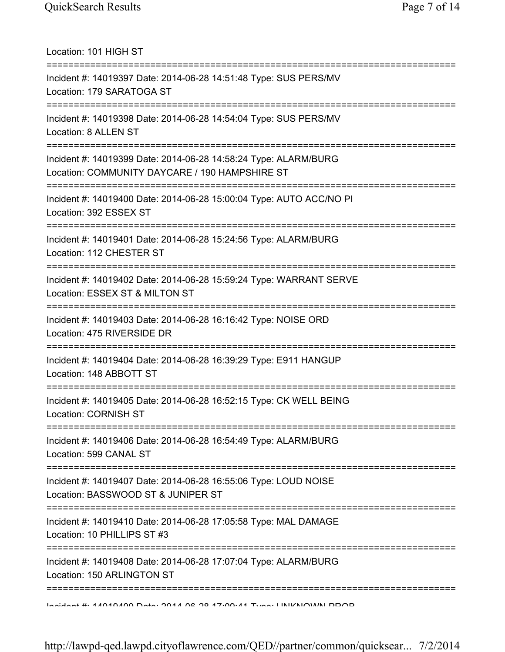Location: 101 HIGH ST =========================================================================== Incident #: 14019397 Date: 2014-06-28 14:51:48 Type: SUS PERS/MV Location: 179 SARATOGA ST =========================================================================== Incident #: 14019398 Date: 2014-06-28 14:54:04 Type: SUS PERS/MV Location: 8 ALLEN ST =========================================================================== Incident #: 14019399 Date: 2014-06-28 14:58:24 Type: ALARM/BURG Location: COMMUNITY DAYCARE / 190 HAMPSHIRE ST =========================================================================== Incident #: 14019400 Date: 2014-06-28 15:00:04 Type: AUTO ACC/NO PI Location: 392 ESSEX ST =========================================================================== Incident #: 14019401 Date: 2014-06-28 15:24:56 Type: ALARM/BURG Location: 112 CHESTER ST =========================================================================== Incident #: 14019402 Date: 2014-06-28 15:59:24 Type: WARRANT SERVE Location: ESSEX ST & MILTON ST =========================================================================== Incident #: 14019403 Date: 2014-06-28 16:16:42 Type: NOISE ORD Location: 475 RIVERSIDE DR =========================================================================== Incident #: 14019404 Date: 2014-06-28 16:39:29 Type: E911 HANGUP Location: 148 ABBOTT ST =========================================================================== Incident #: 14019405 Date: 2014-06-28 16:52:15 Type: CK WELL BEING Location: CORNISH ST =========================================================================== Incident #: 14019406 Date: 2014-06-28 16:54:49 Type: ALARM/BURG Location: 599 CANAL ST =========================================================================== Incident #: 14019407 Date: 2014-06-28 16:55:06 Type: LOUD NOISE Location: BASSWOOD ST & JUNIPER ST =========================================================================== Incident #: 14019410 Date: 2014-06-28 17:05:58 Type: MAL DAMAGE Location: 10 PHILLIPS ST #3 =========================================================================== Incident #: 14019408 Date: 2014-06-28 17:07:04 Type: ALARM/BURG Location: 150 ARLINGTON ST =========================================================================== Incident #: 14019409 Date: 2014 06 28 17:09:41 Type: UNKNOWN PROB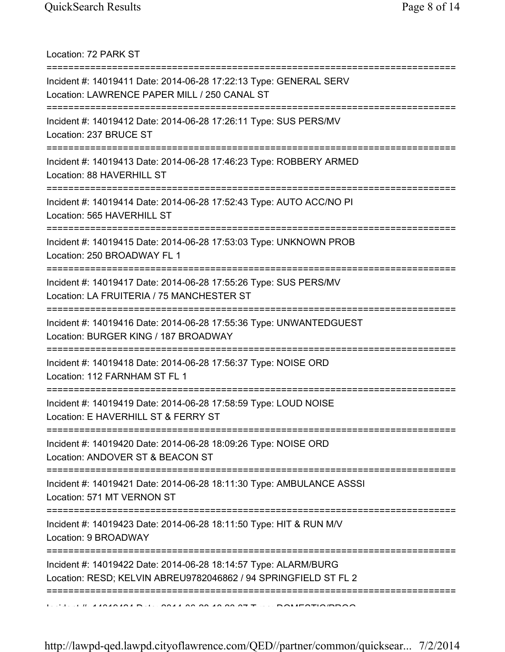Location: 72 PARK ST

| Incident #: 14019411 Date: 2014-06-28 17:22:13 Type: GENERAL SERV<br>Location: LAWRENCE PAPER MILL / 250 CANAL ST                     |
|---------------------------------------------------------------------------------------------------------------------------------------|
| Incident #: 14019412 Date: 2014-06-28 17:26:11 Type: SUS PERS/MV<br>Location: 237 BRUCE ST                                            |
| Incident #: 14019413 Date: 2014-06-28 17:46:23 Type: ROBBERY ARMED<br>Location: 88 HAVERHILL ST                                       |
| Incident #: 14019414 Date: 2014-06-28 17:52:43 Type: AUTO ACC/NO PI<br>Location: 565 HAVERHILL ST                                     |
| Incident #: 14019415 Date: 2014-06-28 17:53:03 Type: UNKNOWN PROB<br>Location: 250 BROADWAY FL 1                                      |
| Incident #: 14019417 Date: 2014-06-28 17:55:26 Type: SUS PERS/MV<br>Location: LA FRUITERIA / 75 MANCHESTER ST                         |
| Incident #: 14019416 Date: 2014-06-28 17:55:36 Type: UNWANTEDGUEST<br>Location: BURGER KING / 187 BROADWAY<br>======================= |
| Incident #: 14019418 Date: 2014-06-28 17:56:37 Type: NOISE ORD<br>Location: 112 FARNHAM ST FL 1                                       |
| Incident #: 14019419 Date: 2014-06-28 17:58:59 Type: LOUD NOISE<br>Location: E HAVERHILL ST & FERRY ST                                |
| Incident #: 14019420 Date: 2014-06-28 18:09:26 Type: NOISE ORD<br>Location: ANDOVER ST & BEACON ST                                    |
| Incident #: 14019421 Date: 2014-06-28 18:11:30 Type: AMBULANCE ASSSI<br>Location: 571 MT VERNON ST                                    |
| Incident #: 14019423 Date: 2014-06-28 18:11:50 Type: HIT & RUN M/V<br>Location: 9 BROADWAY                                            |
| Incident #: 14019422 Date: 2014-06-28 18:14:57 Type: ALARM/BURG<br>Location: RESD; KELVIN ABREU9782046862 / 94 SPRINGFIELD ST FL 2    |
|                                                                                                                                       |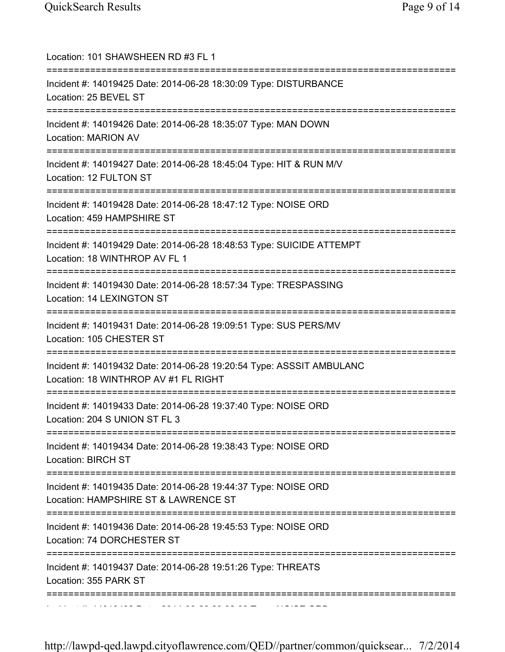| Location: 101 SHAWSHEEN RD #3 FL 1                                                                                           |
|------------------------------------------------------------------------------------------------------------------------------|
| Incident #: 14019425 Date: 2014-06-28 18:30:09 Type: DISTURBANCE<br>Location: 25 BEVEL ST                                    |
| Incident #: 14019426 Date: 2014-06-28 18:35:07 Type: MAN DOWN<br>Location: MARION AV                                         |
| Incident #: 14019427 Date: 2014-06-28 18:45:04 Type: HIT & RUN M/V<br>Location: 12 FULTON ST                                 |
| Incident #: 14019428 Date: 2014-06-28 18:47:12 Type: NOISE ORD<br>Location: 459 HAMPSHIRE ST                                 |
| Incident #: 14019429 Date: 2014-06-28 18:48:53 Type: SUICIDE ATTEMPT<br>Location: 18 WINTHROP AV FL 1                        |
| Incident #: 14019430 Date: 2014-06-28 18:57:34 Type: TRESPASSING<br>Location: 14 LEXINGTON ST                                |
| Incident #: 14019431 Date: 2014-06-28 19:09:51 Type: SUS PERS/MV<br>Location: 105 CHESTER ST                                 |
| Incident #: 14019432 Date: 2014-06-28 19:20:54 Type: ASSSIT AMBULANC<br>Location: 18 WINTHROP AV #1 FL RIGHT                 |
| :========================<br>Incident #: 14019433 Date: 2014-06-28 19:37:40 Type: NOISE ORD<br>Location: 204 S UNION ST FL 3 |
| Incident #: 14019434 Date: 2014-06-28 19:38:43 Type: NOISE ORD<br><b>Location: BIRCH ST</b>                                  |
| Incident #: 14019435 Date: 2014-06-28 19:44:37 Type: NOISE ORD<br>Location: HAMPSHIRE ST & LAWRENCE ST                       |
| Incident #: 14019436 Date: 2014-06-28 19:45:53 Type: NOISE ORD<br>Location: 74 DORCHESTER ST                                 |
| Incident #: 14019437 Date: 2014-06-28 19:51:26 Type: THREATS<br>Location: 355 PARK ST                                        |
|                                                                                                                              |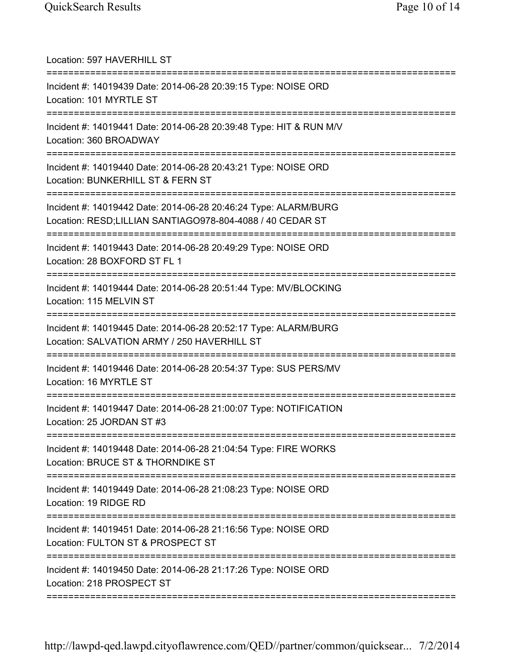| Location: 597 HAVERHILL ST<br>================================                                                                          |
|-----------------------------------------------------------------------------------------------------------------------------------------|
| Incident #: 14019439 Date: 2014-06-28 20:39:15 Type: NOISE ORD<br>Location: 101 MYRTLE ST                                               |
| Incident #: 14019441 Date: 2014-06-28 20:39:48 Type: HIT & RUN M/V<br>Location: 360 BROADWAY                                            |
| Incident #: 14019440 Date: 2014-06-28 20:43:21 Type: NOISE ORD<br>Location: BUNKERHILL ST & FERN ST                                     |
| Incident #: 14019442 Date: 2014-06-28 20:46:24 Type: ALARM/BURG<br>Location: RESD;LILLIAN SANTIAGO978-804-4088 / 40 CEDAR ST            |
| Incident #: 14019443 Date: 2014-06-28 20:49:29 Type: NOISE ORD<br>Location: 28 BOXFORD ST FL 1<br>===================================== |
| Incident #: 14019444 Date: 2014-06-28 20:51:44 Type: MV/BLOCKING<br>Location: 115 MELVIN ST                                             |
| Incident #: 14019445 Date: 2014-06-28 20:52:17 Type: ALARM/BURG<br>Location: SALVATION ARMY / 250 HAVERHILL ST                          |
| Incident #: 14019446 Date: 2014-06-28 20:54:37 Type: SUS PERS/MV<br>Location: 16 MYRTLE ST                                              |
| Incident #: 14019447 Date: 2014-06-28 21:00:07 Type: NOTIFICATION<br>Location: 25 JORDAN ST #3                                          |
| Incident #: 14019448 Date: 2014-06-28 21:04:54 Type: FIRE WORKS<br>Location: BRUCE ST & THORNDIKE ST                                    |
| Incident #: 14019449 Date: 2014-06-28 21:08:23 Type: NOISE ORD<br>Location: 19 RIDGE RD                                                 |
| Incident #: 14019451 Date: 2014-06-28 21:16:56 Type: NOISE ORD<br>Location: FULTON ST & PROSPECT ST                                     |
| Incident #: 14019450 Date: 2014-06-28 21:17:26 Type: NOISE ORD<br>Location: 218 PROSPECT ST                                             |
|                                                                                                                                         |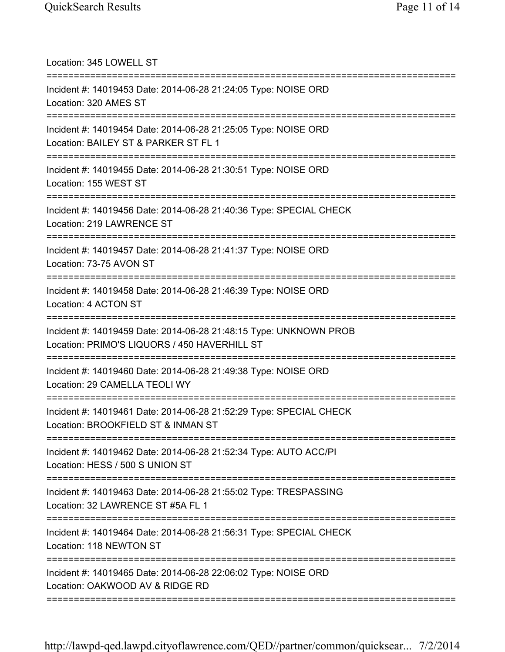| Location: 345 LOWELL ST                                                                                           |
|-------------------------------------------------------------------------------------------------------------------|
| Incident #: 14019453 Date: 2014-06-28 21:24:05 Type: NOISE ORD<br>Location: 320 AMES ST                           |
| Incident #: 14019454 Date: 2014-06-28 21:25:05 Type: NOISE ORD<br>Location: BAILEY ST & PARKER ST FL 1            |
| Incident #: 14019455 Date: 2014-06-28 21:30:51 Type: NOISE ORD<br>Location: 155 WEST ST                           |
| Incident #: 14019456 Date: 2014-06-28 21:40:36 Type: SPECIAL CHECK<br>Location: 219 LAWRENCE ST                   |
| Incident #: 14019457 Date: 2014-06-28 21:41:37 Type: NOISE ORD<br>Location: 73-75 AVON ST                         |
| Incident #: 14019458 Date: 2014-06-28 21:46:39 Type: NOISE ORD<br>Location: 4 ACTON ST                            |
| Incident #: 14019459 Date: 2014-06-28 21:48:15 Type: UNKNOWN PROB<br>Location: PRIMO'S LIQUORS / 450 HAVERHILL ST |
| Incident #: 14019460 Date: 2014-06-28 21:49:38 Type: NOISE ORD<br>Location: 29 CAMELLA TEOLI WY                   |
| Incident #: 14019461 Date: 2014-06-28 21:52:29 Type: SPECIAL CHECK<br>Location: BROOKFIELD ST & INMAN ST          |
| Incident #: 14019462 Date: 2014-06-28 21:52:34 Type: AUTO ACC/PI<br>Location: HESS / 500 S UNION ST               |
| Incident #: 14019463 Date: 2014-06-28 21:55:02 Type: TRESPASSING<br>Location: 32 LAWRENCE ST #5A FL 1             |
| Incident #: 14019464 Date: 2014-06-28 21:56:31 Type: SPECIAL CHECK<br>Location: 118 NEWTON ST                     |
| Incident #: 14019465 Date: 2014-06-28 22:06:02 Type: NOISE ORD<br>Location: OAKWOOD AV & RIDGE RD                 |
|                                                                                                                   |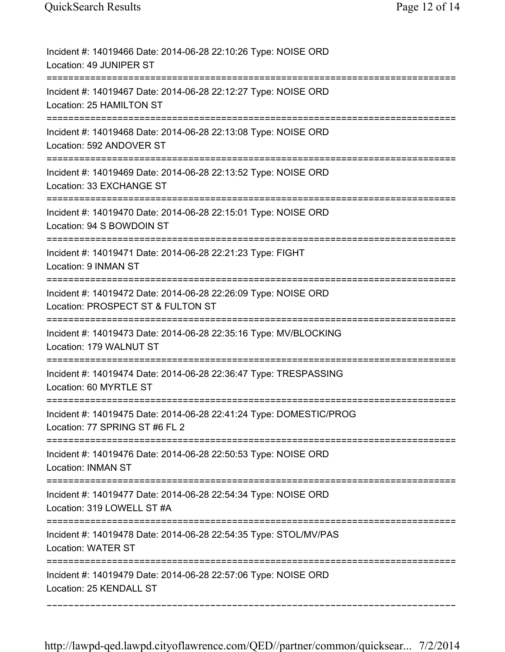| Incident #: 14019466 Date: 2014-06-28 22:10:26 Type: NOISE ORD<br>Location: 49 JUNIPER ST                                          |
|------------------------------------------------------------------------------------------------------------------------------------|
| Incident #: 14019467 Date: 2014-06-28 22:12:27 Type: NOISE ORD<br>Location: 25 HAMILTON ST                                         |
| Incident #: 14019468 Date: 2014-06-28 22:13:08 Type: NOISE ORD<br>Location: 592 ANDOVER ST                                         |
| Incident #: 14019469 Date: 2014-06-28 22:13:52 Type: NOISE ORD<br>Location: 33 EXCHANGE ST                                         |
| Incident #: 14019470 Date: 2014-06-28 22:15:01 Type: NOISE ORD<br>Location: 94 S BOWDOIN ST                                        |
| Incident #: 14019471 Date: 2014-06-28 22:21:23 Type: FIGHT<br>Location: 9 INMAN ST                                                 |
| Incident #: 14019472 Date: 2014-06-28 22:26:09 Type: NOISE ORD<br>Location: PROSPECT ST & FULTON ST                                |
| Incident #: 14019473 Date: 2014-06-28 22:35:16 Type: MV/BLOCKING<br>Location: 179 WALNUT ST<br>=================================== |
| Incident #: 14019474 Date: 2014-06-28 22:36:47 Type: TRESPASSING<br>Location: 60 MYRTLE ST                                         |
| Incident #: 14019475 Date: 2014-06-28 22:41:24 Type: DOMESTIC/PROG<br>Location: 77 SPRING ST #6 FL 2                               |
| Incident #: 14019476 Date: 2014-06-28 22:50:53 Type: NOISE ORD<br><b>Location: INMAN ST</b>                                        |
| Incident #: 14019477 Date: 2014-06-28 22:54:34 Type: NOISE ORD<br>Location: 319 LOWELL ST #A                                       |
| Incident #: 14019478 Date: 2014-06-28 22:54:35 Type: STOL/MV/PAS<br><b>Location: WATER ST</b>                                      |
| Incident #: 14019479 Date: 2014-06-28 22:57:06 Type: NOISE ORD<br>Location: 25 KENDALL ST                                          |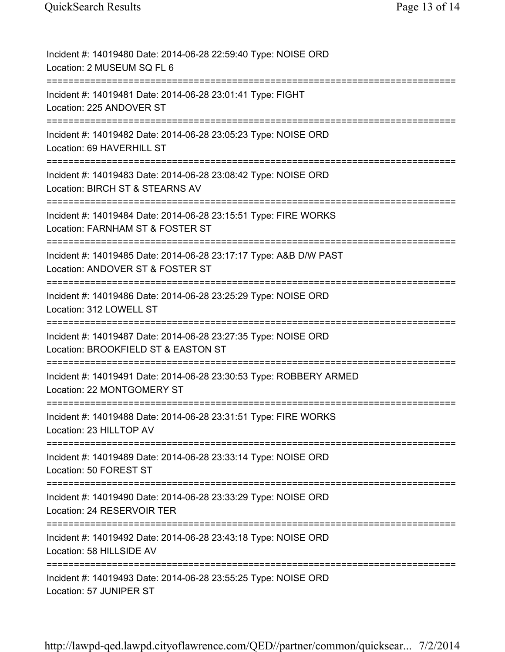| Incident #: 14019480 Date: 2014-06-28 22:59:40 Type: NOISE ORD<br>Location: 2 MUSEUM SQ FL 6                                       |
|------------------------------------------------------------------------------------------------------------------------------------|
| Incident #: 14019481 Date: 2014-06-28 23:01:41 Type: FIGHT<br>Location: 225 ANDOVER ST                                             |
| Incident #: 14019482 Date: 2014-06-28 23:05:23 Type: NOISE ORD<br>Location: 69 HAVERHILL ST                                        |
| Incident #: 14019483 Date: 2014-06-28 23:08:42 Type: NOISE ORD<br>Location: BIRCH ST & STEARNS AV                                  |
| Incident #: 14019484 Date: 2014-06-28 23:15:51 Type: FIRE WORKS<br>Location: FARNHAM ST & FOSTER ST                                |
| Incident #: 14019485 Date: 2014-06-28 23:17:17 Type: A&B D/W PAST<br>Location: ANDOVER ST & FOSTER ST                              |
| Incident #: 14019486 Date: 2014-06-28 23:25:29 Type: NOISE ORD<br>Location: 312 LOWELL ST                                          |
| Incident #: 14019487 Date: 2014-06-28 23:27:35 Type: NOISE ORD<br>Location: BROOKFIELD ST & EASTON ST<br>========================= |
| Incident #: 14019491 Date: 2014-06-28 23:30:53 Type: ROBBERY ARMED<br>Location: 22 MONTGOMERY ST                                   |
| Incident #: 14019488 Date: 2014-06-28 23:31:51 Type: FIRE WORKS<br>Location: 23 HILLTOP AV                                         |
| Incident #: 14019489 Date: 2014-06-28 23:33:14 Type: NOISE ORD<br>Location: 50 FOREST ST                                           |
| Incident #: 14019490 Date: 2014-06-28 23:33:29 Type: NOISE ORD<br>Location: 24 RESERVOIR TER                                       |
| Incident #: 14019492 Date: 2014-06-28 23:43:18 Type: NOISE ORD<br>Location: 58 HILLSIDE AV                                         |
| Incident #: 14019493 Date: 2014-06-28 23:55:25 Type: NOISE ORD<br>Location: 57 JUNIPER ST                                          |